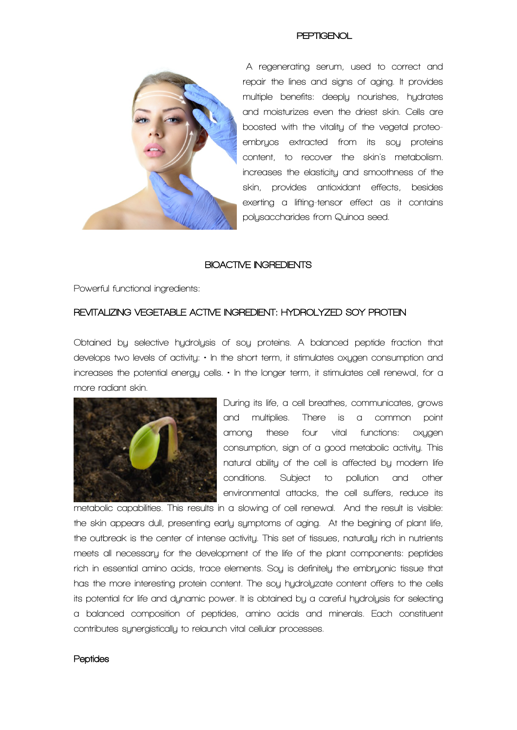

**A regenerating serum, used to correct and repair the lines and signs of aging. It provides multiple benefits: deeply nourishes, hydrates and moisturizes even the driest skin. Cells are boosted with the vitality of the vegetal proteoembryos extracted from its soy proteins content, to recover the skin's metabolism. increases the elasticity and smoothness of the skin, provides antioxidant effects, besides exerting a lifting-tensor effect as it contains polysaccharides from Quinoa seed.**

### **BIOACTIVE INGREDIENTS**

**Powerful functional ingredients:**

## **REVITALIZING VEGETABLE ACTIVE INGREDIENT: HYDROLYZED SOY PROTEIN**

**Obtained by selective hydrolysis of soy proteins. A balanced peptide fraction that develops two levels of activity: • In the short term, it stimulates oxygen consumption and increases the potential energy cells. • In the longer term, it stimulates cell renewal, for a more radiant skin.**



**During its life, a cell breathes, communicates, grows and multiplies. There is a common point among these four vital functions: oxygen consumption, sign of a good metabolic activity. This natural ability of the cell is affected by modern life conditions. Subject to pollution and other environmental attacks, the cell suffers, reduce its** 

**metabolic capabilities. This results in a slowing of cell renewal. And the result is visible: the skin appears dull, presenting early symptoms of aging. At the begining of plant life, the outbreak is the center of intense activity. This set of tissues, naturally rich in nutrients meets all necessary for the development of the life of the plant components: peptides rich in essential amino acids, trace elements. Soy is definitely the embryonic tissue that has the more interesting protein content. The soy hydrolyzate content offers to the cells its potential for life and dynamic power. It is obtained by a careful hydrolysis for selecting a balanced composition of peptides, amino acids and minerals. Each constituent contributes synergistically to relaunch vital cellular processes.**

### **Peptides**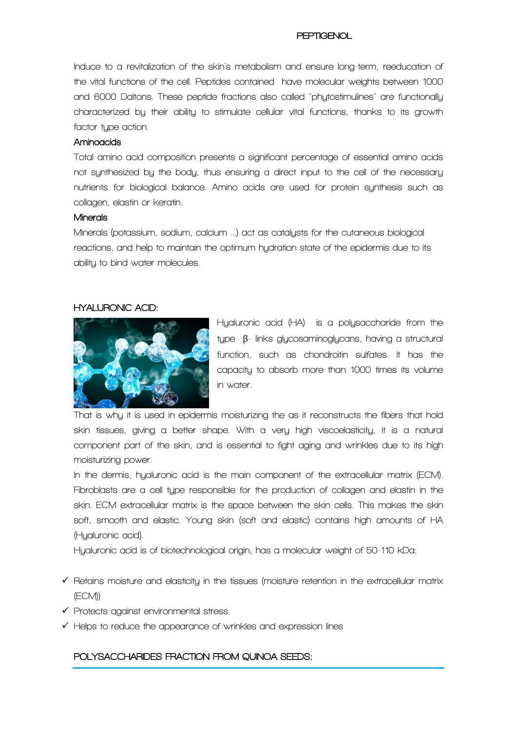**Induce to a revitalization of the skin's metabolism and ensure long-term, reeducation of the vital functions of the cell. Peptides contained have molecular weights between 1000 and 6000 Daltons. These peptide fractions also called "phytostimulines" are functionally characterized by their ability to stimulate cellular vital functions, thanks to its growth factor type action.**

## **Aminoacids**

**Total amino acid composition presents a significant percentage of essential amino acids not synthesized by the body, thus ensuring a direct input to the cell of the necessary nutrients for biological balance. Amino acids are used for protein synthesis such as collagen, elastin or keratin.**

## **Minerals**

**Minerals (potassium, sodium, calcium ...) act as catalysts for the cutaneous biological reactions, and help to maintain the optimum hydration state of the epidermis due to its ability to bind water molecules.**

# **HYALURONIC ACID:**



**Hyaluronic acid (HA) is a polysaccharide from the type** β**- links glycosaminoglycans, having a structural function, such as chondroitin sulfates. It has the capacity to absorb more than 1000 times its volume in water.** 

**That is why it is used in epidermis moisturizing the as it reconstructs the fibers that hold skin tissues, giving a better shape. With a very high viscoelasticity, it is a natural component part of the skin, and is essential to fight aging and wrinkles due to its high moisturizing power.**

**In the dermis, hyaluronic acid is the main component of the extracellular matrix (ECM). Fibroblasts are a cell type responsible for the production of collagen and elastin in the skin. ECM extracellular matrix is the space between the skin cells. This makes the skin soft, smooth and elastic. Young skin (soft and elastic) contains high amounts of HA (Hyaluronic acid).**

**Hyaluronic acid is of biotechnological origin, has a molecular weight of 50-110 kDa:**

- **Retains moisture and elasticity in the tissues (moisture retention in the extracellular matrix (ECM))**
- **Protects against environmental stress**
- **Helps to reduce the appearance of wrinkles and expression lines**

# **POLYSACCHARIDES FRACTION FROM QUINOA SEEDS:**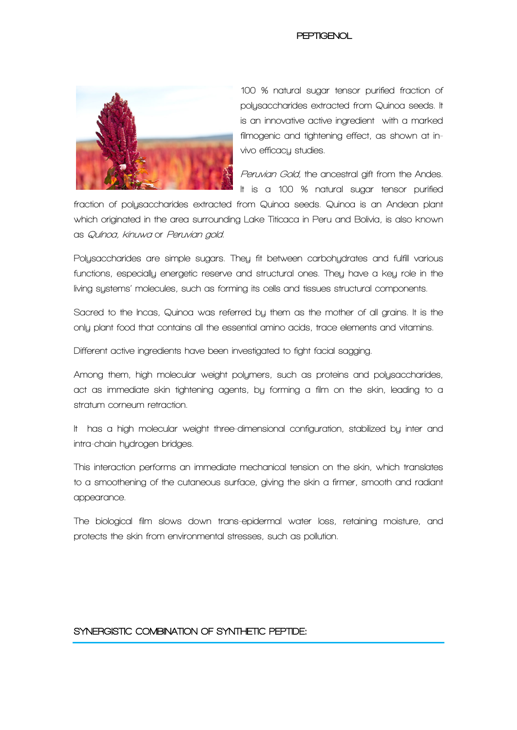

**100 % natural sugar tensor purified fraction of polysaccharides extracted from Quinoa seeds. It is an innovative active ingredient with a marked filmogenic and tightening effect, as shown at invivo efficacy studies.**

**Peruvian Gold, the ancestral gift from the Andes. It is a 100 % natural sugar tensor purified** 

**fraction of polysaccharides extracted from Quinoa seeds. Quinoa is an Andean plant which originated in the area surrounding Lake Titicaca in Peru and Bolivia, is also known as Quínoa, kinuwa or Peruvian gold.**

**Polysaccharides are simple sugars. They fit between carbohydrates and fulfill various functions, especially energetic reserve and structural ones. They have a key role in the living systems' molecules, such as forming its cells and tissues structural components.** 

**Sacred to the Incas, Quinoa was referred by them as the mother of all grains. It is the only plant food that contains all the essential amino acids, trace elements and vitamins.**

**Different active ingredients have been investigated to fight facial sagging.** 

**Among them, high molecular weight polymers, such as proteins and polysaccharides, act as immediate skin tightening agents, by forming a film on the skin, leading to a stratum corneum retraction.**

**It has a high molecular weight three-dimensional configuration, stabilized by inter and intra-chain hydrogen bridges.**

**This interaction performs an immediate mechanical tension on the skin, which translates to a smoothening of the cutaneous surface, giving the skin a firmer, smooth and radiant appearance.**

**The biological film slows down trans-epidermal water loss, retaining moisture, and protects the skin from environmental stresses, such as pollution.** 

# SYNERGISTIC COMBINATION OF SYNTHETIC PEPTIDE: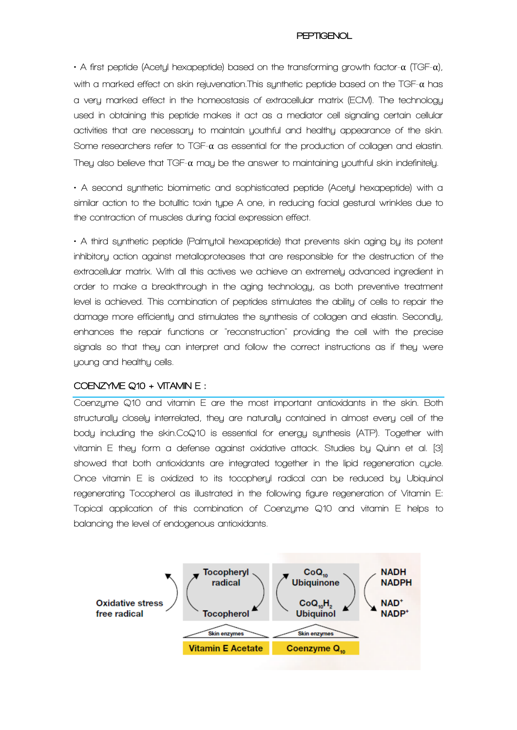**• A first peptide (Acetyl hexapeptide) based on the transforming growth factor-**α **(TGF-**α**), with a marked effect on skin rejuvenation.This synthetic peptide based on the TGF-**α **has a very marked effect in the homeostasis of extracellular matrix (ECM). The technology used in obtaining this peptide makes it act as a mediator cell signaling certain cellular activities that are necessary to maintain youthful and healthy appearance of the skin. Some researchers refer to TGF-**α **as essential for the production of collagen and elastin. They also believe that TGF-**α **may be the answer to maintaining youthful skin indefinitely.**

**• A second synthetic biomimetic and sophisticated peptide (Acetyl hexapeptide) with a similar action to the botulític toxin type A one, in reducing facial gestural wrinkles due to the contraction of muscles during facial expression effect.**

**• A third synthetic peptide (Palmytoil hexapeptide) that prevents skin aging by its potent inhibitory action against metalloproteases that are responsible for the destruction of the extracellular matrix. With all this actives we achieve an extremely advanced ingredient in order to make a breakthrough in the aging technology, as both preventive treatment level is achieved. This combination of peptides stimulates the ability of cells to repair the damage more efficiently and stimulates the synthesis of collagen and elastin. Secondly, enhances the repair functions or "reconstruction" providing the cell with the precise signals so that they can interpret and follow the correct instructions as if they were young and healthy cells.**

## **COENZYME Q10 + VITAMIN E :**

**Coenzyme Q10 and vitamin E are the most important antioxidants in the skin. Both structurally closely interrelated, they are naturally contained in almost every cell of the body including the skin.CoQ10 is essential for energy synthesis (ATP). Together with vitamin E they form a defense against oxidative attack. Studies by Quinn et al. [3] showed that both antioxidants are integrated together in the lipid regeneration cycle. Once vitamin E is oxidized to its tocopheryl radical can be reduced by Ubiquinol regenerating Tocopherol as illustrated in the following figure regeneration of Vitamin E: Topical application of this combination of Coenzyme Q10 and vitamin E helps to balancing the level of endogenous antioxidants.**

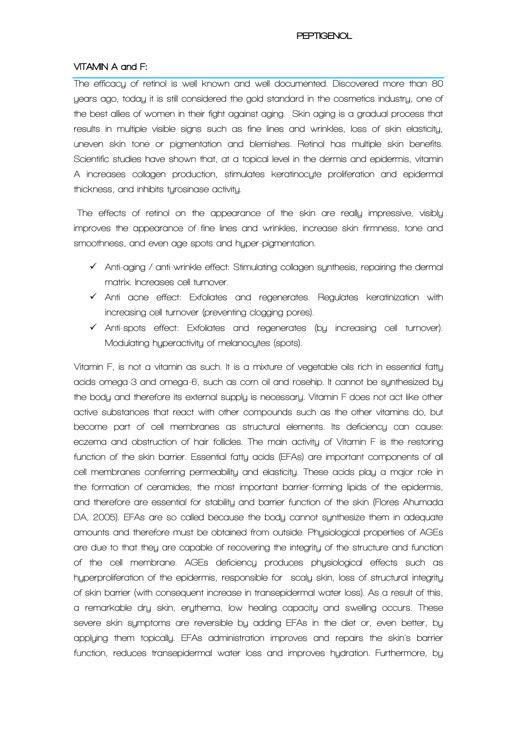# **VITAMIN A and F:**

**The efficacy of retinol is well known and well documented. Discovered more than 80 years ago, today it is still considered the gold standard in the cosmetics industry, one of the best allies of women in their fight against aging. Skin aging is a gradual process that results in multiple visible signs such as fine lines and wrinkles, loss of skin elasticity, uneven skin tone or pigmentation and blemishes. Retinol has multiple skin benefits. Scientific studies have shown that, at a topical level in the dermis and epidermis, vitamin A increases collagen production, stimulates keratinocyte proliferation and epidermal thickness, and inhibits tyrosinase activity.**

**The effects of retinol on the appearance of the skin are really impressive, visibly improves the appearance of fine lines and wrinkles, increase skin firmness, tone and smoothness, and even age spots and hyper-pigmentation.**

- **Anti-aging / anti-wrinkle effect: Stimulating collagen synthesis, repairing the dermal matrix. Increases cell turnover.**
- **Anti acne effect: Exfoliates and regenerates. Regulates keratinization with increasing cell turnover (preventing clogging pores).**
- **Anti-spots effect: Exfoliates and regenerates (by increasing cell turnover). Modulating hyperactivity of melanocytes (spots).**

**Vitamin F, is not a vitamin as such. It is a mixture of vegetable oils rich in essential fatty acids omega-3 and omega-6, such as corn oil and rosehip. It cannot be synthesized by the body and therefore its external supply is necessary. Vitamin F does not act like other active substances that react with other compounds such as the other vitamins do, but become part of cell membranes as structural elements. Its deficiency can cause: eczema and obstruction of hair follicles. The main activity of Vitamin F is the restoring function of the skin barrier. Essential fatty acids (EFAs) are important components of all cell membranes conferring permeability and elasticity. These acids play a major role in the formation of ceramides, the most important barrier-forming lipids of the epidermis, and therefore are essential for stability and barrier function of the skin (Flores Ahumada DA, 2005). EFAs are so called because the body cannot synthesize them in adequate amounts and therefore must be obtained from outside. Physiological properties of AGEs are due to that they are capable of recovering the integrity of the structure and function of the cell membrane. AGEs deficiency produces physiological effects such as hyperproliferation of the epidermis, responsible for scaly skin, loss of structural integrity of skin barrier (with consequent increase in transepidermal water loss). As a result of this, a remarkable dry skin, erythema, low healing capacity and swelling occurs. These severe skin symptoms are reversible by adding EFAs in the diet or, even better, by applying them topically. EFAs administration improves and repairs the skin's barrier function, reduces transepidermal water loss and improves hydration. Furthermore, by**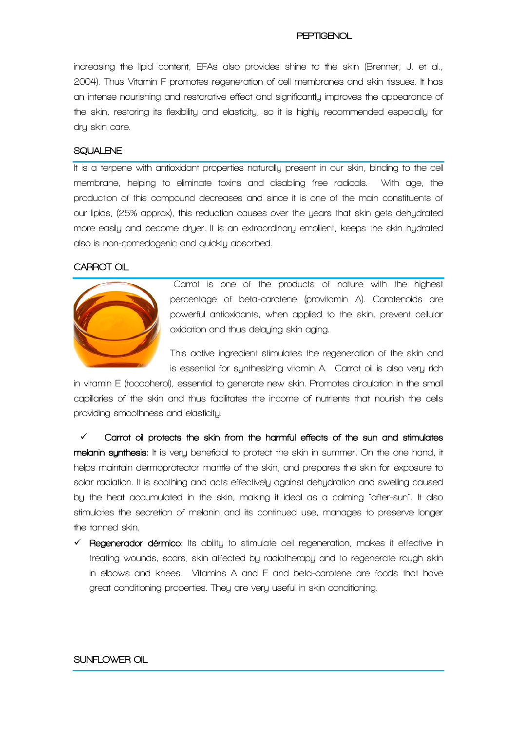**increasing the lipid content, EFAs also provides shine to the skin (Brenner, J. et al., 2004). Thus Vitamin F promotes regeneration of cell membranes and skin tissues. It has an intense nourishing and restorative effect and significantly improves the appearance of the skin, restoring its flexibility and elasticity, so it is highly recommended especially for dry skin care.**

## **SQUALENE**

**It is a terpene with antioxidant properties naturally present in our skin, binding to the cell membrane, helping to eliminate toxins and disabling free radicals. With age, the production of this compound decreases and since it is one of the main constituents of our lipids, (25% approx), this reduction causes over the years that skin gets dehydrated more easily and become dryer. It is an extraordinary emollient, keeps the skin hydrated also is non-comedogenic and quickly absorbed.**

#### **CARROT OIL**



**Carrot is one of the products of nature with the highest percentage of beta-carotene (provitamin A). Carotenoids are powerful antioxidants, when applied to the skin, prevent cellular oxidation and thus delaying skin aging.** 

**This active ingredient stimulates the regeneration of the skin and is essential for synthesizing vitamin A. Carrot oil is also very rich** 

**in vitamin E (tocopherol), essential to generate new skin. Promotes circulation in the small capillaries of the skin and thus facilitates the income of nutrients that nourish the cells providing smoothness and elasticity.**

 **Carrot oil protects the skin from the harmful effects of the sun and stimulates melanin synthesis: It is very beneficial to protect the skin in summer. On the one hand, it helps maintain dermoprotector mantle of the skin, and prepares the skin for exposure to solar radiation. It is soothing and acts effectively against dehydration and swelling caused by the heat accumulated in the skin, making it ideal as a calming "after-sun". It also stimulates the secretion of melanin and its continued use, manages to preserve longer the tanned skin.** 

 **Regenerador dérmico: Its ability to stimulate cell regeneration, makes it effective in treating wounds, scars, skin affected by radiotherapy and to regenerate rough skin in elbows and knees. Vitamins A and E and beta-carotene are foods that have great conditioning properties. They are very useful in skin conditioning.** 

# **SUNFLOWER OIL**